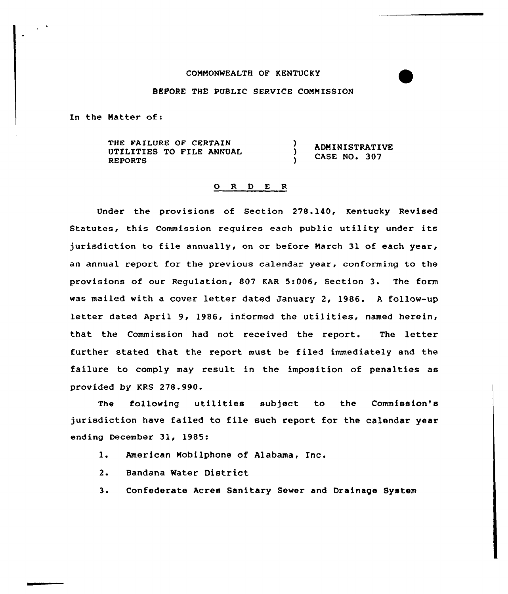## COMMONWEALTH OF KENTUCKY

## BEFORE THE PUBLIC SERVICE COMMISSION

In the Natter of:

THE FAILURE OF CERTAIN Δ. ADNINISTRATIVE UTILITIES TO FIIE ANNUAL CASE NO. 307 REPORTS

## 0 R <sup>D</sup> E <sup>R</sup>

Under the provisions of Section 278.140, Kentucky Revised Statutes, this Commission requires each public utility under its jurisdiction to file annually, on or before March 31 of each year, an annual report for the previous calendar year, conforming to the provisions of our Regulation, 807 KAR 5:006, Section 3. The form was mailed with <sup>a</sup> cover letter dated January 2, 1986. <sup>A</sup> follow-up letter dated April 9, 1986, informed the utilities, named herein, that the Commission had not received the report. The letter further stated that the report must be filed immediately and the failure to comply may result in the imposition of penalties as provided by KRS 278.990.

The following utilities subject to the Commission's jurisdiction have failed to file such report for the calendar year ending December 31, 1985:

- 1. American Nobilphone of Alabama, Inc.
- 2. Bandana Mater District
- 3. Confederate Acres Sanitary Sewer and Drainage System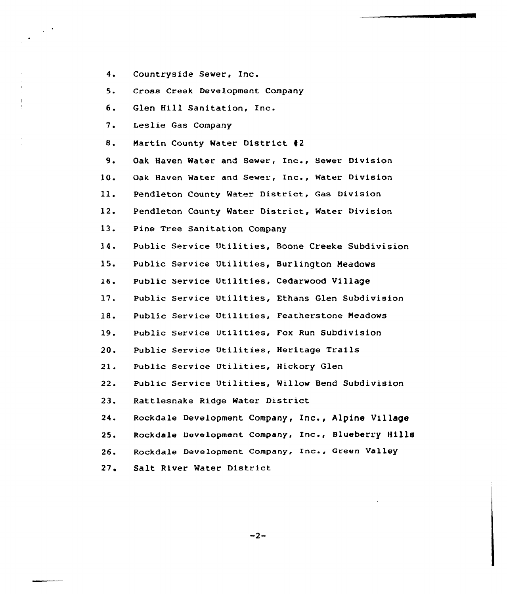$4.$ Countryside Sewer, Inc.

5, Cross Creek Development Company

6. Glen Hill Sanitation, Inc.

7. Lesiie Gas Company

8. Nartin County Water District 42

 $9.$ Oak Haven Water and Sewer, Inc., Sewer Division

10. Oak Haven Water and Sewer, Inc., Water Division

 $11.$ Pendleton County Water District, Gas Division

12 <sup>~</sup> Pendleton County Water District, Water Division

13. Pine Tree Sanitation Company

14. Public Service Utilities, Boone Creeke Subdivision

15. Public Service Utilities, Burlington Neadows

16 Public Service Utilities, Cedarwood Village

17. Public Service Utilities, Ethans Glen Subdivision

18. Public Service Utilities, Featherstone Meadows

19. Public Service Utilities, Fox Run Subdivision

20. Public Service Utilities, Heritage Trails

Public Service Utilities, Hickory Glen  $21.$ 

 $22.$ Public Service Utilities, Willow Bend Subdivision

23. Rattlesnake Ridge Water District

 $24.$ Rockdale Development Company, Inc., Alpine Village

 $25.$ Rockdale Development company, Inc., Blueberry Hills

26. 26. Rockdale Development Company, Inc., Green V<mark>alle</mark><br>27. Salt River Water District

 $-2-$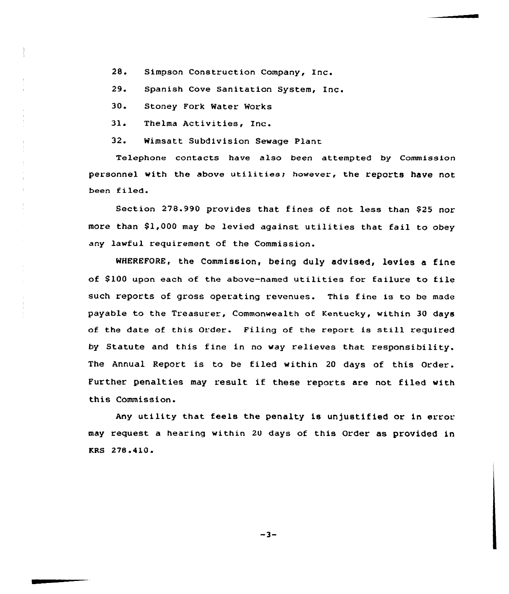28. Simpson Construction Company, Inc.

29. Spanish Cove Sanitation System, Inc.

30. Stoney Fork Water Works

31. Thelma Activities, Inc.

32. Wimsatt Subdivision Sewage Plant

Telephone contacts have also been attempted by Commission personnel with the above utilities; however, the reports have not been filed.

Section 278.990 provides that fines of not less than \$25 nor more than 91,000 may be levied against utilities that fail to obey any lawful requirement of the Commission.

WHEREFORE, the Commission, being duly advised, levies a fine of \$ 100 upon each of the above-named utilities for failure to file such reports of gross operating revenues. This fine is to be made payable to the Treasurer, Commonwealth of Kentucky, within 30 days of the date of this Order. Piling of the report is still required by Statute and this fine in no way relieves that responsibility. The Annual Report is to be filed within <sup>20</sup> days of this Order. Further penalties may result if these reports are not filed with this Commission.

Any utility that feels the penalty is unjustified or in error may request a hearing within 20 days of this Order as provided in KRS 278.410.

 $-3-$